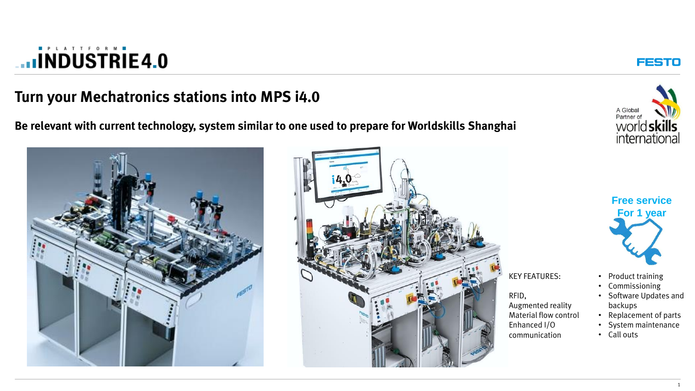### **Turn your Mechatronics stations into MPS i4.0**

**Be relevant with current technology, system similar to one used to prepare for Worldskills Shanghai** 







**FESTO** 



• Product training

KEY FEATURES:

Augmented reality Material flow control

Enhanced I/O communication

RFID,

- Commissioning
- Software Updates and backups
- Replacement of parts
- System maintenance
- Call outs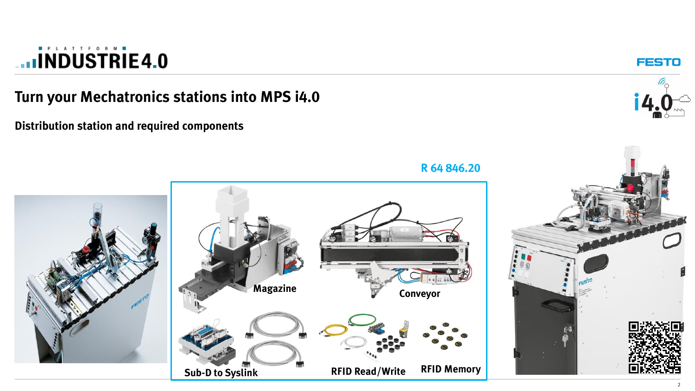### **Turn your Mechatronics stations into MPS i4.0**

**Distribution station and required components**



**FESTO** 



**R 64 846.20**

2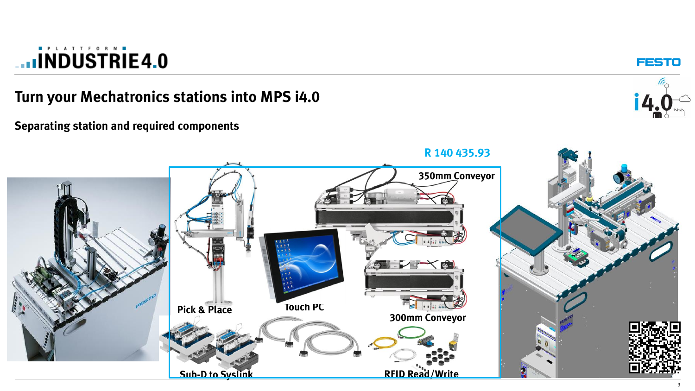**Turn your Mechatronics stations into MPS i4.0**



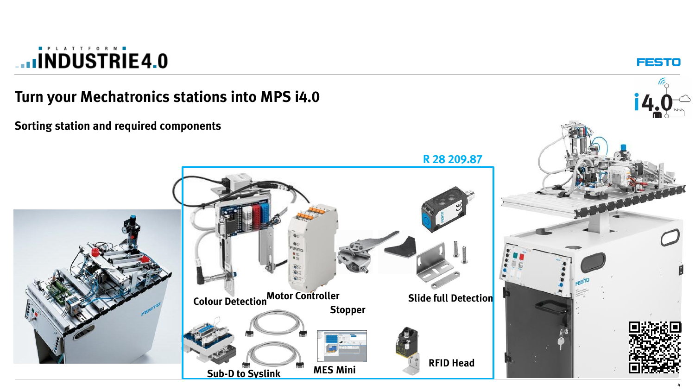

**FESTO**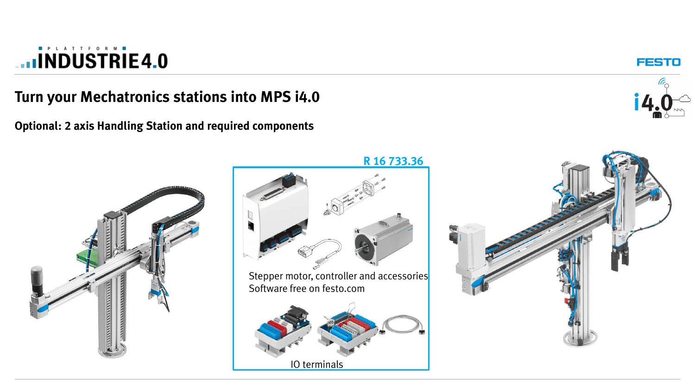#### **Turn your Mechatronics stations into MPS i4.0**

**Optional: 2 axis Handling Station and required components**



FESTO



**R 16 733.36**